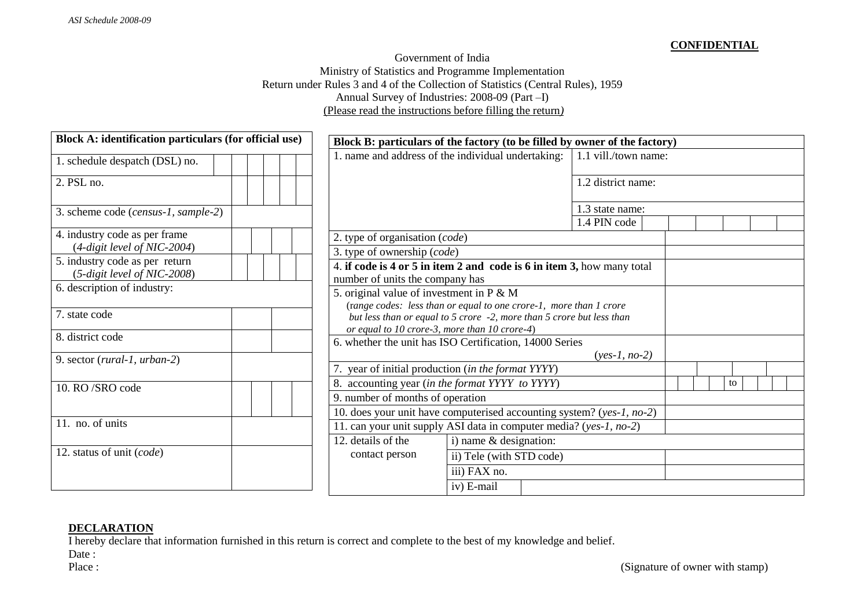## **CONFIDENTIAL**

## Government of India Ministry of Statistics and Programme Implementation Return under Rules 3 and 4 of the Collection of Statistics (Central Rules), 1959 Annual Survey of Industries: 2008-09 (Part –I) (Please read the instructions before filling the return*)*

| Block A: identification particulars (for official use)                |                                                                                | Block B: particulars of the factory (to be filled by owner of the factory) |                                 |  |  |    |  |
|-----------------------------------------------------------------------|--------------------------------------------------------------------------------|----------------------------------------------------------------------------|---------------------------------|--|--|----|--|
| 1. schedule despatch (DSL) no.                                        | 1. name and address of the individual undertaking:<br>1.1 vill./town name:     |                                                                            |                                 |  |  |    |  |
| $\overline{2}$ . PSL no.                                              |                                                                                |                                                                            | 1.2 district name:              |  |  |    |  |
| 3. scheme code (census-1, sample-2)                                   |                                                                                |                                                                            | 1.3 state name:<br>1.4 PIN code |  |  |    |  |
| 4. industry code as per frame<br>$(4\text{-}digit level of NIC-2004)$ | 2. type of organisation (code)                                                 |                                                                            |                                 |  |  |    |  |
| 5. industry code as per return<br>$(5-digit level of NIC-2008)$       | 3. type of ownership (code)                                                    | 4. if code is 4 or 5 in item 2 and code is 6 in item 3, how many total     |                                 |  |  |    |  |
| 6. description of industry:                                           | number of units the company has<br>5. original value of investment in $P \& M$ | (range codes: less than or equal to one crore-1, more than 1 crore         |                                 |  |  |    |  |
| 7. state code                                                         | or equal to 10 crore-3, more than 10 crore-4)                                  | but less than or equal to 5 crore -2, more than 5 crore but less than      |                                 |  |  |    |  |
| 8. district code                                                      |                                                                                | 6. whether the unit has ISO Certification, 14000 Series                    | $(yes-1, no-2)$                 |  |  |    |  |
| 9. sector (rural-1, urban-2)                                          |                                                                                | year of initial production (in the format YYYY)                            |                                 |  |  |    |  |
| 10. RO/SRO code                                                       | 9. number of months of operation                                               | 8. accounting year (in the format YYYY to YYYY)                            |                                 |  |  | to |  |
| 11. no. of units                                                      |                                                                                | 10. does your unit have computerised accounting system? (yes-1, no-2)      |                                 |  |  |    |  |
|                                                                       |                                                                                | 11. can your unit supply ASI data in computer media? (yes-1, no-2)         |                                 |  |  |    |  |
| 12. status of unit (code)                                             | 12. details of the                                                             | i) name $&$ designation:                                                   |                                 |  |  |    |  |
|                                                                       | contact person                                                                 | ii) Tele (with STD code)                                                   |                                 |  |  |    |  |
|                                                                       |                                                                                | iii) FAX no.                                                               |                                 |  |  |    |  |
|                                                                       |                                                                                | iv) E-mail                                                                 |                                 |  |  |    |  |

## **DECLARATION**

I hereby declare that information furnished in this return is correct and complete to the best of my knowledge and belief.

Date: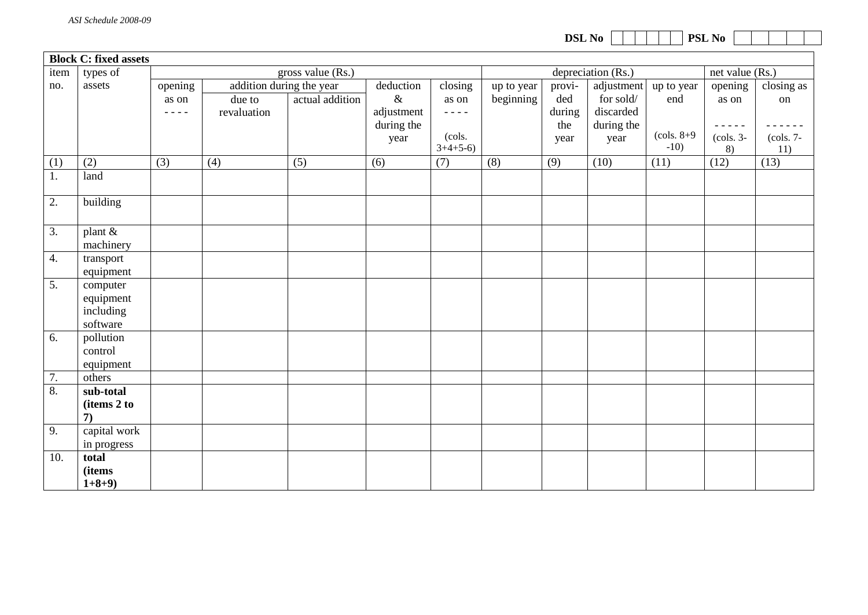**Block C: fixed assets**  item no. types of assets gross value (Rs.) depreciation (Rs.) het value (Rs.) opening as on - - - addition during the year deduction & adjustment during the year closing as on  $- - - -$ (cols.  $3+4+5-6$ up to year beginning provided during the year adjustment for sold/ discarded during the year up to year end (cols. 8+9 -10) opening as on - - - - - (cols. 3-  $\frac{8}{12}$ closing as on - - - - - - (cols. 7- 11) due to revaluation actual addition (1)  $(2)$   $(3)$   $(4)$   $(5)$   $(6)$   $(7)$   $(8)$   $(9)$   $(10)$   $(11)$   $(12)$   $(13)$ 1. land 2. building  $3.$  plant  $\&$ machinery 4. transport equipment 5. computer equipment including software 6. pollution control equipment 7. others 8. **sub-total (items 2 to 7)** 9. capital work in progress 10. **total (items**   $1+8+9$ 

**DSL** No **PSL** No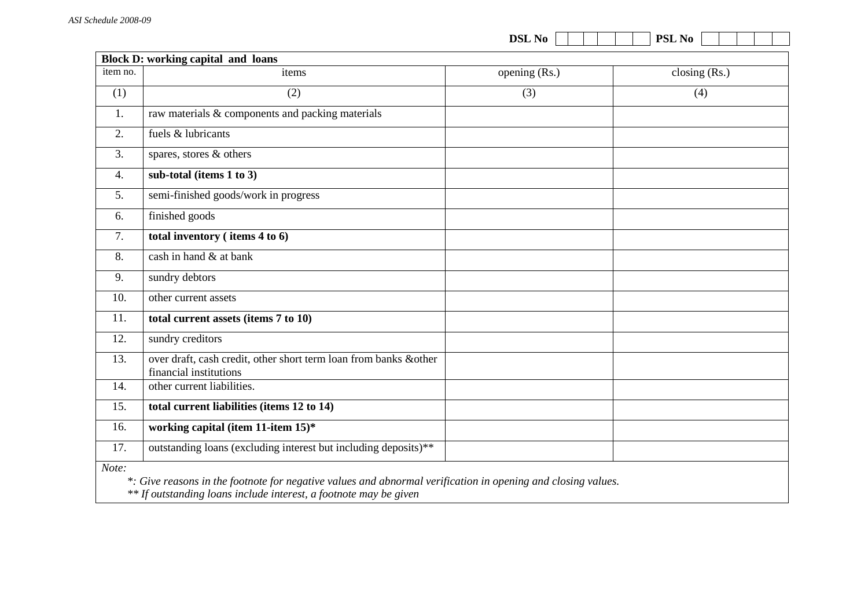| item no.<br>(1)<br>1.<br>2.<br>3. | Block D: working capital and loans<br>items<br>(2)                                                           | opening (Rs.) | closing $(Rs.)$ |  |  |  |
|-----------------------------------|--------------------------------------------------------------------------------------------------------------|---------------|-----------------|--|--|--|
|                                   |                                                                                                              |               |                 |  |  |  |
|                                   |                                                                                                              |               |                 |  |  |  |
|                                   |                                                                                                              | (3)           | (4)             |  |  |  |
|                                   | raw materials & components and packing materials                                                             |               |                 |  |  |  |
|                                   | fuels & lubricants                                                                                           |               |                 |  |  |  |
|                                   | spares, stores & others                                                                                      |               |                 |  |  |  |
| 4.                                | sub-total (items 1 to 3)                                                                                     |               |                 |  |  |  |
| 5.                                | semi-finished goods/work in progress                                                                         |               |                 |  |  |  |
| 6.                                | finished goods                                                                                               |               |                 |  |  |  |
| 7.                                | total inventory (items 4 to 6)                                                                               |               |                 |  |  |  |
| 8.                                | cash in hand & at bank                                                                                       |               |                 |  |  |  |
| 9.                                | sundry debtors                                                                                               |               |                 |  |  |  |
| 10.                               | other current assets                                                                                         |               |                 |  |  |  |
| 11.                               | total current assets (items 7 to 10)                                                                         |               |                 |  |  |  |
| 12.                               | sundry creditors                                                                                             |               |                 |  |  |  |
| 13.                               | over draft, cash credit, other short term loan from banks &other<br>financial institutions                   |               |                 |  |  |  |
| 14.                               | other current liabilities.                                                                                   |               |                 |  |  |  |
| 15.                               | total current liabilities (items 12 to 14)                                                                   |               |                 |  |  |  |
| 16.                               | working capital (item 11-item 15)*                                                                           |               |                 |  |  |  |
| 17.                               | outstanding loans (excluding interest but including deposits)**                                              |               |                 |  |  |  |
| Note:                             | *: Give reasons in the footnote for negative values and abnormal verification in opening and closing values. |               |                 |  |  |  |

 *\*\* If outstanding loans include interest, a footnote may be given*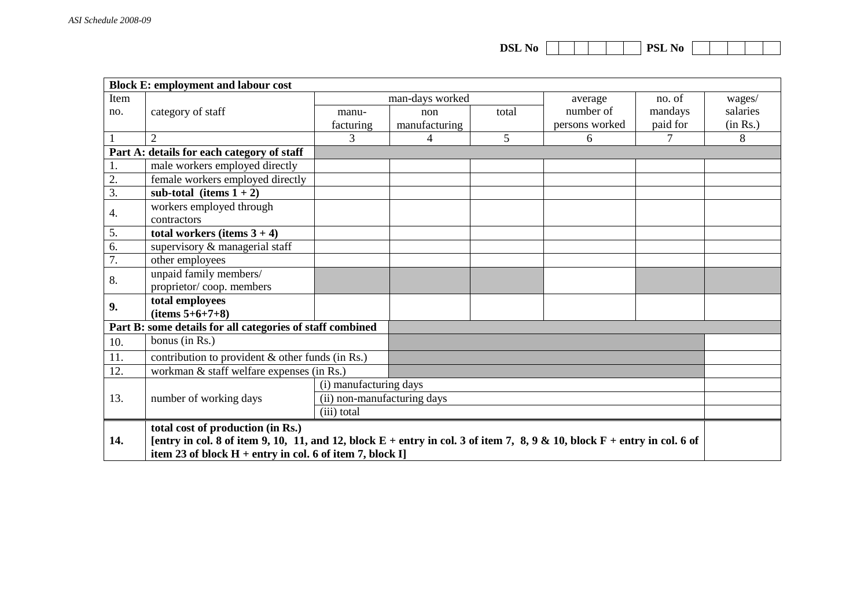| <b>DSL No</b> |  |  |  |  |  |  | <b>PSL No</b> |  |  |  |  |  |
|---------------|--|--|--|--|--|--|---------------|--|--|--|--|--|
|---------------|--|--|--|--|--|--|---------------|--|--|--|--|--|

|      | <b>Block E: employment and labour cost</b>                                                                                                                                                 |                             |                 |       |                |          |          |
|------|--------------------------------------------------------------------------------------------------------------------------------------------------------------------------------------------|-----------------------------|-----------------|-------|----------------|----------|----------|
| Item |                                                                                                                                                                                            |                             | man-days worked |       | average        | no. of   | wages/   |
| no.  | category of staff                                                                                                                                                                          | manu-                       | non             | total | number of      | mandays  | salaries |
|      |                                                                                                                                                                                            | facturing                   | manufacturing   |       | persons worked | paid for | (in Rs.) |
|      | $\overline{2}$                                                                                                                                                                             | 3                           | 4               | 5     | 6              | $\tau$   | 8        |
|      | Part A: details for each category of staff                                                                                                                                                 |                             |                 |       |                |          |          |
| 1.   | male workers employed directly                                                                                                                                                             |                             |                 |       |                |          |          |
| 2.   | female workers employed directly                                                                                                                                                           |                             |                 |       |                |          |          |
| 3.   | sub-total (items $1 + 2$ )                                                                                                                                                                 |                             |                 |       |                |          |          |
| 4.   | workers employed through                                                                                                                                                                   |                             |                 |       |                |          |          |
|      | contractors                                                                                                                                                                                |                             |                 |       |                |          |          |
| 5.   | total workers (items $3 + 4$ )                                                                                                                                                             |                             |                 |       |                |          |          |
| 6.   | supervisory & managerial staff                                                                                                                                                             |                             |                 |       |                |          |          |
| 7.   | other employees                                                                                                                                                                            |                             |                 |       |                |          |          |
| 8.   | unpaid family members/                                                                                                                                                                     |                             |                 |       |                |          |          |
|      | proprietor/coop. members                                                                                                                                                                   |                             |                 |       |                |          |          |
| 9.   | total employees                                                                                                                                                                            |                             |                 |       |                |          |          |
|      | $(items 5+6+7+8)$                                                                                                                                                                          |                             |                 |       |                |          |          |
|      | Part B: some details for all categories of staff combined                                                                                                                                  |                             |                 |       |                |          |          |
| 10.  | bonus (in Rs.)                                                                                                                                                                             |                             |                 |       |                |          |          |
| 11.  | contribution to provident $\&$ other funds (in Rs.)                                                                                                                                        |                             |                 |       |                |          |          |
| 12.  | workman & staff welfare expenses (in Rs.)                                                                                                                                                  |                             |                 |       |                |          |          |
|      |                                                                                                                                                                                            | (i) manufacturing days      |                 |       |                |          |          |
| 13.  | number of working days                                                                                                                                                                     | (ii) non-manufacturing days |                 |       |                |          |          |
|      |                                                                                                                                                                                            | (iii) total                 |                 |       |                |          |          |
|      | total cost of production (in Rs.)                                                                                                                                                          |                             |                 |       |                |          |          |
| 14.  |                                                                                                                                                                                            |                             |                 |       |                |          |          |
|      | [entry in col. 8 of item 9, 10, 11, and 12, block $E$ + entry in col. 3 of item 7, 8, 9 & 10, block $F$ + entry in col. 6 of<br>item 23 of block $H$ + entry in col. 6 of item 7, block I] |                             |                 |       |                |          |          |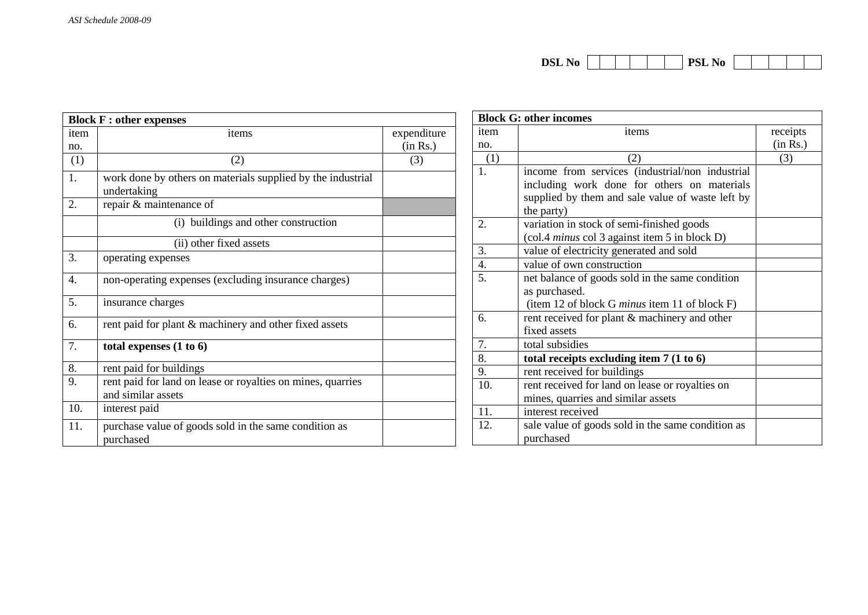|           | <b>Block F : other expenses</b>                                                                       |             | <b>Block G: other incomes</b> |                                                                                                                                                                  |          |  |
|-----------|-------------------------------------------------------------------------------------------------------|-------------|-------------------------------|------------------------------------------------------------------------------------------------------------------------------------------------------------------|----------|--|
| item      | items                                                                                                 | expenditure | item                          | items                                                                                                                                                            | receipts |  |
| no.       |                                                                                                       | (in Rs.)    | no.                           |                                                                                                                                                                  | (in Rs.) |  |
| (1)       | (2)                                                                                                   | (3)         | (1)                           | (2)                                                                                                                                                              | (3)      |  |
| 1.<br>2.  | work done by others on materials supplied by the industrial<br>undertaking<br>repair & maintenance of |             | 1.                            | income from services (industrial/non industrial<br>including work done for others on materials<br>supplied by them and sale value of waste left by<br>the party) |          |  |
|           | (i) buildings and other construction                                                                  |             | 2.                            | variation in stock of semi-finished goods<br>(col.4 <i>minus</i> col 3 against item 5 in block D)                                                                |          |  |
|           | (ii) other fixed assets                                                                               |             | 3.                            | value of electricity generated and sold                                                                                                                          |          |  |
| 3.        | operating expenses                                                                                    |             | 4.                            | value of own construction                                                                                                                                        |          |  |
| 4.        | non-operating expenses (excluding insurance charges)                                                  |             | 5.                            | net balance of goods sold in the same condition<br>as purchased.                                                                                                 |          |  |
| 5.        | insurance charges                                                                                     |             |                               | (item 12 of block G minus item 11 of block F)                                                                                                                    |          |  |
| 6.        | rent paid for plant & machinery and other fixed assets                                                |             | 6.                            | rent received for plant & machinery and other<br>fixed assets                                                                                                    |          |  |
| 7.        | total expenses $(1 to 6)$                                                                             |             | 7.                            | total subsidies                                                                                                                                                  |          |  |
|           |                                                                                                       |             | 8.                            | total receipts excluding item $7(1 \text{ to } 6)$                                                                                                               |          |  |
| 8.        | rent paid for buildings                                                                               |             | 9.                            | rent received for buildings                                                                                                                                      |          |  |
| 9.<br>10. | rent paid for land on lease or royalties on mines, quarries<br>and similar assets<br>interest paid    |             | 10.<br>11.                    | rent received for land on lease or royalties on<br>mines, quarries and similar assets<br>interest received                                                       |          |  |
| 11.       | purchase value of goods sold in the same condition as<br>purchased                                    |             | 12.                           | sale value of goods sold in the same condition as<br>purchased                                                                                                   |          |  |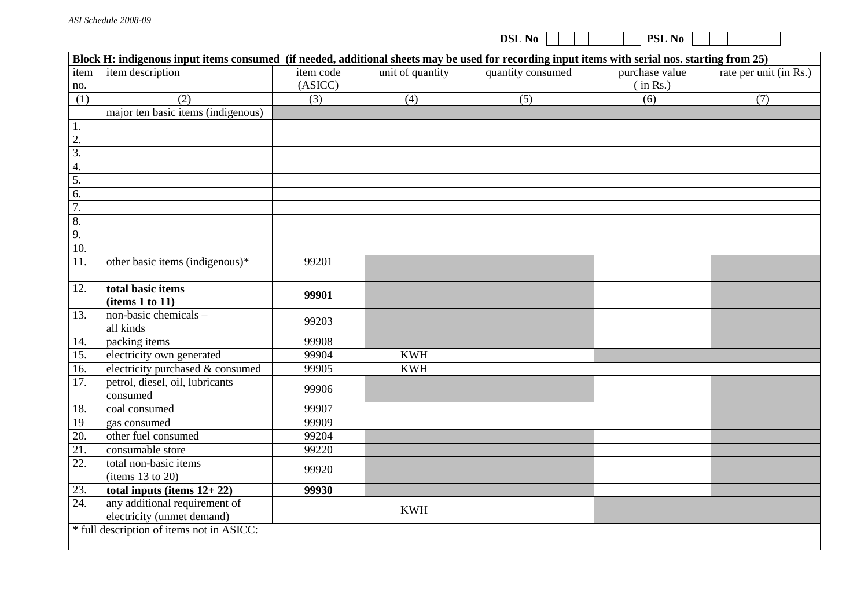|                  |                                                                                                                                                 |                      |                  | <b>DSL No</b>     | PSL No                     |                        |
|------------------|-------------------------------------------------------------------------------------------------------------------------------------------------|----------------------|------------------|-------------------|----------------------------|------------------------|
|                  | Block H: indigenous input items consumed (if needed, additional sheets may be used for recording input items with serial nos. starting from 25) |                      |                  |                   |                            |                        |
| item<br>no.      | item description                                                                                                                                | item code<br>(ASICC) | unit of quantity | quantity consumed | purchase value<br>(in Rs.) | rate per unit (in Rs.) |
| (1)              | (2)                                                                                                                                             | (3)                  | (4)              | (5)               | (6)                        | (7)                    |
|                  | major ten basic items (indigenous)                                                                                                              |                      |                  |                   |                            |                        |
| 1.               |                                                                                                                                                 |                      |                  |                   |                            |                        |
| $\overline{2}$ . |                                                                                                                                                 |                      |                  |                   |                            |                        |
| $\overline{3}$ . |                                                                                                                                                 |                      |                  |                   |                            |                        |
| 4.               |                                                                                                                                                 |                      |                  |                   |                            |                        |
| $\overline{5}$ . |                                                                                                                                                 |                      |                  |                   |                            |                        |
| 6.               |                                                                                                                                                 |                      |                  |                   |                            |                        |
| 7.               |                                                                                                                                                 |                      |                  |                   |                            |                        |
| $\overline{8}$ . |                                                                                                                                                 |                      |                  |                   |                            |                        |
| 9.               |                                                                                                                                                 |                      |                  |                   |                            |                        |
| 10.              |                                                                                                                                                 |                      |                  |                   |                            |                        |
| 11.              | other basic items (indigenous)*                                                                                                                 | 99201                |                  |                   |                            |                        |
| 12.              | total basic items<br>(items 1 to 11)                                                                                                            | 99901                |                  |                   |                            |                        |
| 13.              | non-basic chemicals -<br>all kinds                                                                                                              | 99203                |                  |                   |                            |                        |
| 14.              | packing items                                                                                                                                   | 99908                |                  |                   |                            |                        |
| 15.              | electricity own generated                                                                                                                       | 99904                | <b>KWH</b>       |                   |                            |                        |
| 16.              | electricity purchased & consumed                                                                                                                | 99905                | <b>KWH</b>       |                   |                            |                        |
| 17.              | petrol, diesel, oil, lubricants<br>consumed                                                                                                     | 99906                |                  |                   |                            |                        |
| 18.              | coal consumed                                                                                                                                   | 99907                |                  |                   |                            |                        |
| 19               | gas consumed                                                                                                                                    | 99909                |                  |                   |                            |                        |
| 20.              | other fuel consumed                                                                                                                             | 99204                |                  |                   |                            |                        |
| 21.              | consumable store                                                                                                                                | 99220                |                  |                   |                            |                        |
| 22.              | total non-basic items<br>(items 13 to 20)                                                                                                       | 99920                |                  |                   |                            |                        |
| 23.              | total inputs (items $12+22$ )                                                                                                                   | 99930                |                  |                   |                            |                        |
| 24.              | any additional requirement of<br>electricity (unmet demand)                                                                                     |                      | <b>KWH</b>       |                   |                            |                        |
|                  | * full description of items not in ASICC:                                                                                                       |                      |                  |                   |                            |                        |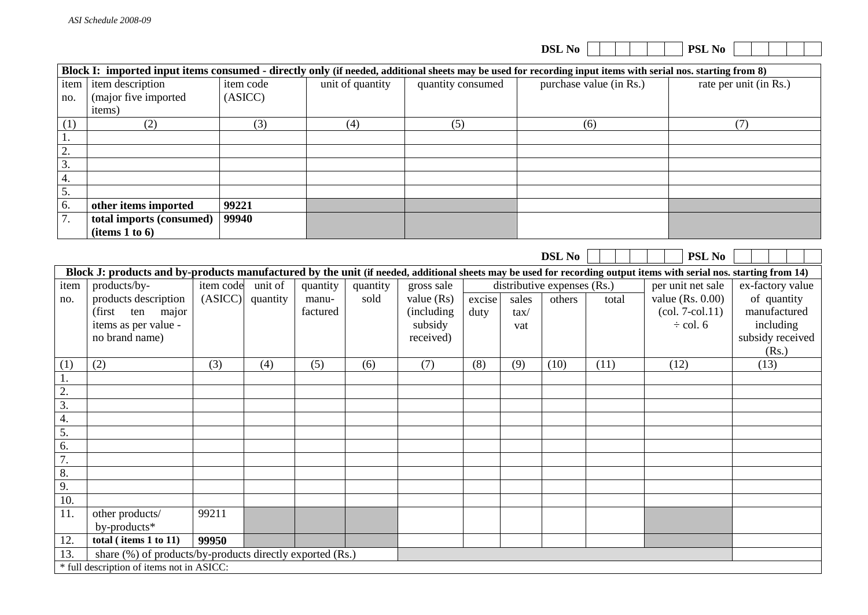|                  |                                                                                                                                                                    |       |           |          |          |                  |                      |        |               | <b>DSL No</b>               |                         | PSL No                               |                               |
|------------------|--------------------------------------------------------------------------------------------------------------------------------------------------------------------|-------|-----------|----------|----------|------------------|----------------------|--------|---------------|-----------------------------|-------------------------|--------------------------------------|-------------------------------|
|                  | Block I: imported input items consumed - directly only (if needed, additional sheets may be used for recording input items with serial nos. starting from 8)       |       |           |          |          |                  |                      |        |               |                             |                         |                                      |                               |
| item             | item description                                                                                                                                                   |       | item code |          |          | unit of quantity | quantity consumed    |        |               |                             | purchase value (in Rs.) |                                      | rate per unit (in Rs.)        |
| no.              | (major five imported                                                                                                                                               |       | (ASIC)    |          |          |                  |                      |        |               |                             |                         |                                      |                               |
|                  | items)                                                                                                                                                             |       |           |          |          |                  |                      |        |               |                             |                         |                                      |                               |
| (1)              | (2)                                                                                                                                                                |       |           | (3)      |          | (4)              | (5)                  |        |               |                             | (6)                     |                                      | (7)                           |
| 1.               |                                                                                                                                                                    |       |           |          |          |                  |                      |        |               |                             |                         |                                      |                               |
| $\overline{2}$ . |                                                                                                                                                                    |       |           |          |          |                  |                      |        |               |                             |                         |                                      |                               |
| $\overline{3}$ . |                                                                                                                                                                    |       |           |          |          |                  |                      |        |               |                             |                         |                                      |                               |
| 4.               |                                                                                                                                                                    |       |           |          |          |                  |                      |        |               |                             |                         |                                      |                               |
| 5.               |                                                                                                                                                                    |       |           |          |          |                  |                      |        |               |                             |                         |                                      |                               |
| $\overline{6}$ . | other items imported                                                                                                                                               |       | 99221     |          |          |                  |                      |        |               |                             |                         |                                      |                               |
| 7.               | total imports (consumed)                                                                                                                                           |       | 99940     |          |          |                  |                      |        |               |                             |                         |                                      |                               |
|                  | (items 1 to 6)                                                                                                                                                     |       |           |          |          |                  |                      |        |               |                             |                         |                                      |                               |
|                  |                                                                                                                                                                    |       |           |          |          |                  |                      |        |               |                             |                         |                                      |                               |
|                  |                                                                                                                                                                    |       |           |          |          |                  |                      |        |               | <b>DSL No</b>               |                         | <b>PSL No</b>                        |                               |
|                  | Block J: products and by-products manufactured by the unit (if needed, additional sheets may be used for recording output items with serial nos. starting from 14) |       |           |          |          |                  |                      |        |               |                             |                         |                                      |                               |
| item             | products/by-                                                                                                                                                       |       | item code | unit of  | quantity | quantity         | gross sale           |        |               | distributive expenses (Rs.) |                         | per unit net sale                    | ex-factory value              |
| no.              | products description                                                                                                                                               |       | (ASIC)    | quantity | manu-    | sold             | value $(Rs)$         | excise | sales         | others                      | total                   | value $(Rs. 0.00)$                   | of quantity                   |
|                  | (first ten major                                                                                                                                                   |       |           |          | factured |                  | (including           | duty   | $\text{tax}/$ |                             |                         | $\left( \text{col. 7-col.11}\right)$ | manufactured                  |
|                  | items as per value -<br>no brand name)                                                                                                                             |       |           |          |          |                  | subsidy<br>received) |        | vat           |                             |                         | $\div$ col. 6                        | including<br>subsidy received |
|                  |                                                                                                                                                                    |       |           |          |          |                  |                      |        |               |                             |                         |                                      | (Rs.)                         |
| (1)              | (2)                                                                                                                                                                | (3)   |           | (4)      | (5)      | (6)              | (7)                  | (8)    | (9)           | (10)                        | (11)                    | (12)                                 | (13)                          |
| $\mathbf{1}$ .   |                                                                                                                                                                    |       |           |          |          |                  |                      |        |               |                             |                         |                                      |                               |
|                  |                                                                                                                                                                    |       |           |          |          |                  |                      |        |               |                             |                         |                                      |                               |
| $\frac{2}{3}$    |                                                                                                                                                                    |       |           |          |          |                  |                      |        |               |                             |                         |                                      |                               |
| $\frac{4}{4}$    |                                                                                                                                                                    |       |           |          |          |                  |                      |        |               |                             |                         |                                      |                               |
| $\overline{5}$ . |                                                                                                                                                                    |       |           |          |          |                  |                      |        |               |                             |                         |                                      |                               |
| 6.               |                                                                                                                                                                    |       |           |          |          |                  |                      |        |               |                             |                         |                                      |                               |
| 7.               |                                                                                                                                                                    |       |           |          |          |                  |                      |        |               |                             |                         |                                      |                               |
| 8.               |                                                                                                                                                                    |       |           |          |          |                  |                      |        |               |                             |                         |                                      |                               |
| 9.               |                                                                                                                                                                    |       |           |          |          |                  |                      |        |               |                             |                         |                                      |                               |
| 10.              |                                                                                                                                                                    |       |           |          |          |                  |                      |        |               |                             |                         |                                      |                               |
| 11.              | other products/                                                                                                                                                    | 99211 |           |          |          |                  |                      |        |               |                             |                         |                                      |                               |
|                  | by-products*                                                                                                                                                       |       |           |          |          |                  |                      |        |               |                             |                         |                                      |                               |
| 12.              | total (items 1 to 11)                                                                                                                                              | 99950 |           |          |          |                  |                      |        |               |                             |                         |                                      |                               |
| 13.              | share (%) of products/by-products directly exported (Rs.)                                                                                                          |       |           |          |          |                  |                      |        |               |                             |                         |                                      |                               |
|                  | * full description of items not in ASICC:                                                                                                                          |       |           |          |          |                  |                      |        |               |                             |                         |                                      |                               |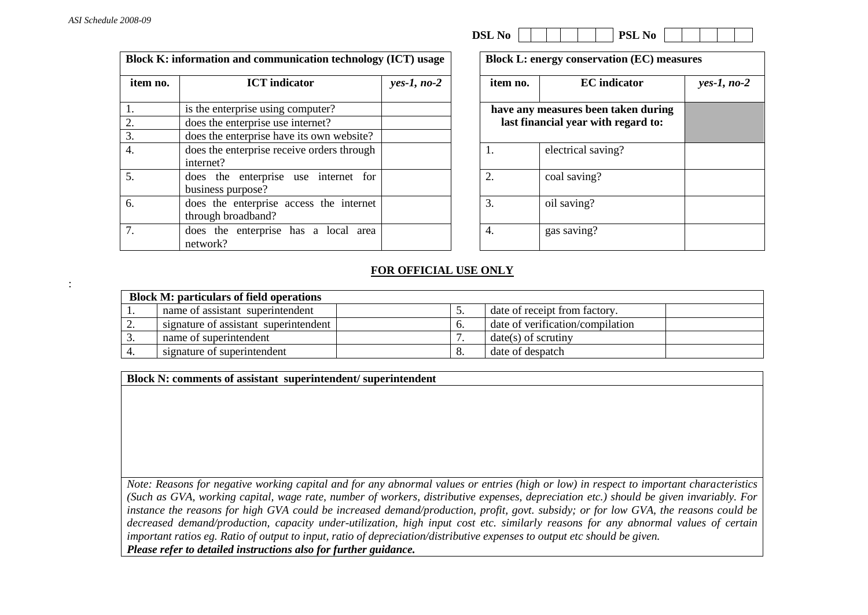:

|          | Block K: information and communication technology (ICT) usage |               |          | <b>Block L: energy conservation (EC) measures</b> |               |
|----------|---------------------------------------------------------------|---------------|----------|---------------------------------------------------|---------------|
| item no. | <b>ICT</b> indicator                                          | $yes-1, no-2$ | item no. | <b>EC</b> indicator                               | $yes-1, no-2$ |
|          | is the enterprise using computer?                             |               |          | have any measures been taken during               |               |
|          | does the enterprise use internet?                             |               |          | last financial year with regard to:               |               |
| 3.       | does the enterprise have its own website?                     |               |          |                                                   |               |
| 4.       | does the enterprise receive orders through<br>internet?       |               | 1.       | electrical saving?                                |               |
| 5.       | does the enterprise use internet for<br>business purpose?     |               | 2.       | coal saving?                                      |               |
| 6.       | does the enterprise access the internet<br>through broadband? |               | 3.       | oil saving?                                       |               |
|          | does the enterprise has a local area<br>network?              |               | 4.       | gas saving?                                       |               |

| DSL<br>N <sub>0</sub> | DCT<br>N <sub>0</sub><br>-- |
|-----------------------|-----------------------------|
|-----------------------|-----------------------------|

| item no.         | yes-1, no-2                                                                |  |
|------------------|----------------------------------------------------------------------------|--|
|                  | have any measures been taken during<br>last financial year with regard to: |  |
| 1.               | electrical saving?                                                         |  |
| $\mathfrak{2}$ . | coal saving?                                                               |  |
| 3.               | oil saving?                                                                |  |
| 4.               | gas saving?                                                                |  |

## **FOR OFFICIAL USE ONLY**

|          | <b>Block M: particulars of field operations</b> |          |                                  |  |  |  |  |
|----------|-------------------------------------------------|----------|----------------------------------|--|--|--|--|
|          | name of assistant superintendent                | <u>.</u> | date of receipt from factory.    |  |  |  |  |
| <u>.</u> | signature of assistant superintendent           |          | date of verification/compilation |  |  |  |  |
|          | name of superintendent                          |          | $date(s)$ of scrutiny            |  |  |  |  |
|          | signature of superintendent                     |          | date of despatch                 |  |  |  |  |

**Block N: comments of assistant superintendent/ superintendent**

*Note: Reasons for negative working capital and for any abnormal values or entries (high or low) in respect to important characteristics (Such as GVA, working capital, wage rate, number of workers, distributive expenses, depreciation etc.) should be given invariably. For instance the reasons for high GVA could be increased demand/production, profit, govt. subsidy; or for low GVA, the reasons could be decreased demand/production, capacity under-utilization, high input cost etc. similarly reasons for any abnormal values of certain important ratios eg. Ratio of output to input, ratio of depreciation/distributive expenses to output etc should be given. Please refer to detailed instructions also for further guidance.*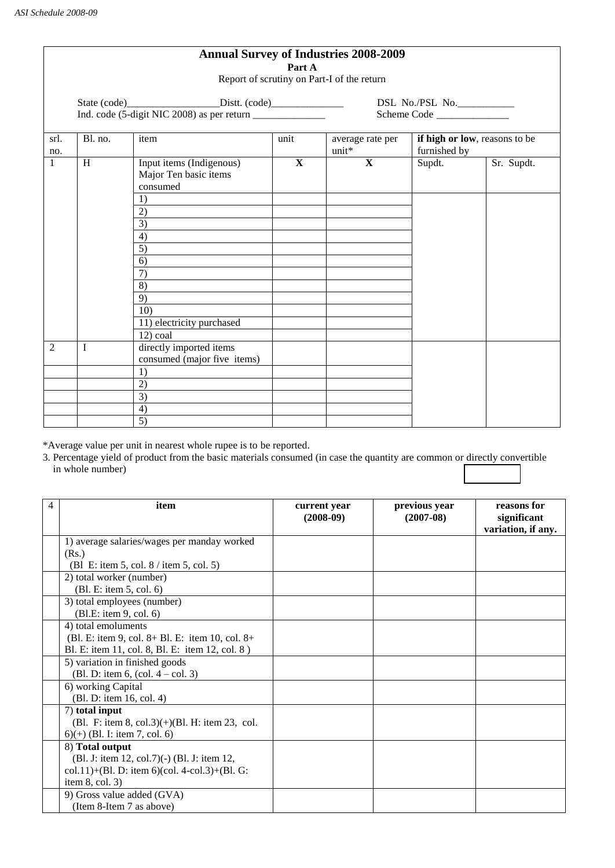| <b>Annual Survey of Industries 2008-2009</b><br>Part A |                                            |                                                                                                                                                                     |                            |                           |                                               |            |  |
|--------------------------------------------------------|--------------------------------------------|---------------------------------------------------------------------------------------------------------------------------------------------------------------------|----------------------------|---------------------------|-----------------------------------------------|------------|--|
|                                                        | Report of scrutiny on Part-I of the return |                                                                                                                                                                     |                            |                           |                                               |            |  |
|                                                        |                                            |                                                                                                                                                                     | DSL No./PSL No.___________ |                           |                                               |            |  |
|                                                        |                                            |                                                                                                                                                                     |                            | Scheme Code               |                                               |            |  |
| srl.<br>no.                                            | Bl. no.                                    | item                                                                                                                                                                | unit                       | average rate per<br>unit* | if high or low, reasons to be<br>furnished by |            |  |
| $\mathbf{1}$                                           | H                                          | Input items (Indigenous)<br>Major Ten basic items<br>consumed<br>1)<br>2)<br>3)<br>4)<br>5)<br>6)<br>7)<br>8)<br>9)<br>10)<br>11) electricity purchased<br>12) coal | $\mathbf{X}$               | $\mathbf{X}$              | Supdt.                                        | Sr. Supdt. |  |
| $\overline{2}$                                         | I                                          | directly imported items<br>consumed (major five items)<br>1)                                                                                                        |                            |                           |                                               |            |  |
|                                                        |                                            | 2)<br>$\overline{3)}$<br>4)<br>$\overline{5)}$                                                                                                                      |                            |                           |                                               |            |  |

\*Average value per unit in nearest whole rupee is to be reported.

3. Percentage yield of product from the basic materials consumed (in case the quantity are common or directly convertible in whole number)

| 4 | item                                                   | current year<br>$(2008-09)$ | previous year<br>$(2007-08)$ | reasons for<br>significant<br>variation, if any. |
|---|--------------------------------------------------------|-----------------------------|------------------------------|--------------------------------------------------|
|   | 1) average salaries/wages per manday worked            |                             |                              |                                                  |
|   | (Rs.)                                                  |                             |                              |                                                  |
|   | (B1 E: item 5, col. 8 / item 5, col. 5)                |                             |                              |                                                  |
|   | 2) total worker (number)                               |                             |                              |                                                  |
|   | (Bl. E: item 5, col. 6)                                |                             |                              |                                                  |
|   | 3) total employees (number)                            |                             |                              |                                                  |
|   | (Bl.E: item 9, col. 6)                                 |                             |                              |                                                  |
|   | 4) total emoluments                                    |                             |                              |                                                  |
|   | (Bl. E: item 9, col. $8 + B1$ . E: item 10, col. $8 +$ |                             |                              |                                                  |
|   | Bl. E: item 11, col. 8, Bl. E: item 12, col. 8)        |                             |                              |                                                  |
|   | 5) variation in finished goods                         |                             |                              |                                                  |
|   | (Bl. D: item 6, $\text{(col. 4 - col. 3)}$ )           |                             |                              |                                                  |
|   | 6) working Capital                                     |                             |                              |                                                  |
|   | (Bl. D: item 16, col. 4)                               |                             |                              |                                                  |
|   | 7) total input                                         |                             |                              |                                                  |
|   | (Bl. F: item 8, col.3) $(+)$ (Bl. H: item 23, col.     |                             |                              |                                                  |
|   | $6$ (+) (Bl. I: item 7, col. 6)                        |                             |                              |                                                  |
|   | 8) Total output                                        |                             |                              |                                                  |
|   | (Bl. J: item 12, col.7)(-) (Bl. J: item 12,            |                             |                              |                                                  |
|   | col.11)+(Bl. D: item 6)(col. 4-col.3)+(Bl. G:          |                             |                              |                                                  |
|   | item $8$ , col. 3)                                     |                             |                              |                                                  |
|   | 9) Gross value added (GVA)                             |                             |                              |                                                  |
|   | (Item 8-Item 7 as above)                               |                             |                              |                                                  |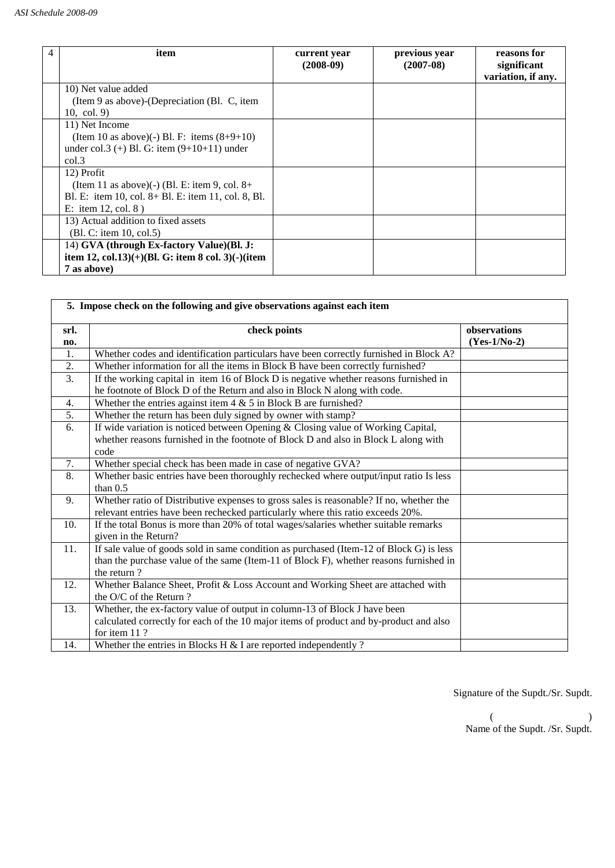| item                                                          | current year<br>$(2008-09)$ | previous year<br>$(2007-08)$ | reasons for<br>significant<br>variation, if any. |
|---------------------------------------------------------------|-----------------------------|------------------------------|--------------------------------------------------|
| 10) Net value added                                           |                             |                              |                                                  |
| (Item 9 as above)-(Depreciation (Bl. C, item<br>10, col. $9)$ |                             |                              |                                                  |
| 11) Net Income                                                |                             |                              |                                                  |
| (Item 10 as above)(-) Bl. F: items $(8+9+10)$                 |                             |                              |                                                  |
| under col.3 (+) Bl. G: item $(9+10+11)$ under                 |                             |                              |                                                  |
| col.3                                                         |                             |                              |                                                  |
| 12) Profit                                                    |                             |                              |                                                  |
| (Item 11 as above)(-) (Bl. E: item 9, col. $8+$               |                             |                              |                                                  |
| Bl. E: item 10, col. 8+ Bl. E: item 11, col. 8, Bl.           |                             |                              |                                                  |
| E: item 12, col. $8$ )                                        |                             |                              |                                                  |
| 13) Actual addition to fixed assets                           |                             |                              |                                                  |
| $(Bl, C:$ item 10, col.5)                                     |                             |                              |                                                  |
| 14) GVA (through Ex-factory Value)(Bl. J:                     |                             |                              |                                                  |
| item 12, col.13 $)(+)(Bl. G:$ item 8 col. 3 $)(-)(item$       |                             |                              |                                                  |
| 7 as above)                                                   |                             |                              |                                                  |

| 5. Impose check on the following and give observations against each item |                                                                                                     |                                |  |
|--------------------------------------------------------------------------|-----------------------------------------------------------------------------------------------------|--------------------------------|--|
| srl.<br>no.                                                              | check points                                                                                        | observations<br>$(Yes-1/No-2)$ |  |
| 1.                                                                       | Whether codes and identification particulars have been correctly furnished in Block A?              |                                |  |
| 2.                                                                       | Whether information for all the items in Block B have been correctly furnished?                     |                                |  |
| $\overline{3}$ .                                                         | If the working capital in item 16 of Block D is negative whether reasons furnished in               |                                |  |
|                                                                          | he footnote of Block D of the Return and also in Block N along with code.                           |                                |  |
| 4.                                                                       | Whether the entries against item $4 \& 5$ in Block B are furnished?                                 |                                |  |
| 5.                                                                       | Whether the return has been duly signed by owner with stamp?                                        |                                |  |
| 6.                                                                       | If wide variation is noticed between Opening & Closing value of Working Capital,                    |                                |  |
|                                                                          | whether reasons furnished in the footnote of Block D and also in Block L along with                 |                                |  |
|                                                                          | code                                                                                                |                                |  |
| 7.                                                                       | Whether special check has been made in case of negative GVA?                                        |                                |  |
| 8.                                                                       | Whether basic entries have been thoroughly rechecked where output/input ratio Is less<br>than $0.5$ |                                |  |
| 9.                                                                       | Whether ratio of Distributive expenses to gross sales is reasonable? If no, whether the             |                                |  |
|                                                                          | relevant entries have been rechecked particularly where this ratio exceeds 20%.                     |                                |  |
| 10.                                                                      | If the total Bonus is more than 20% of total wages/salaries whether suitable remarks                |                                |  |
|                                                                          | given in the Return?                                                                                |                                |  |
| 11.                                                                      | If sale value of goods sold in same condition as purchased (Item-12 of Block G) is less             |                                |  |
|                                                                          | than the purchase value of the same (Item-11 of Block F), whether reasons furnished in              |                                |  |
|                                                                          | the return?                                                                                         |                                |  |
| 12.                                                                      | Whether Balance Sheet, Profit & Loss Account and Working Sheet are attached with                    |                                |  |
|                                                                          | the O/C of the Return?                                                                              |                                |  |
| 13.                                                                      | Whether, the ex-factory value of output in column-13 of Block J have been                           |                                |  |
|                                                                          | calculated correctly for each of the 10 major items of product and by-product and also              |                                |  |
|                                                                          | for item 11?                                                                                        |                                |  |
| 14.                                                                      | Whether the entries in Blocks H $&$ I are reported independently ?                                  |                                |  |

Signature of the Supdt./Sr. Supdt.

 $($  ) Name of the Supdt. /Sr. Supdt.